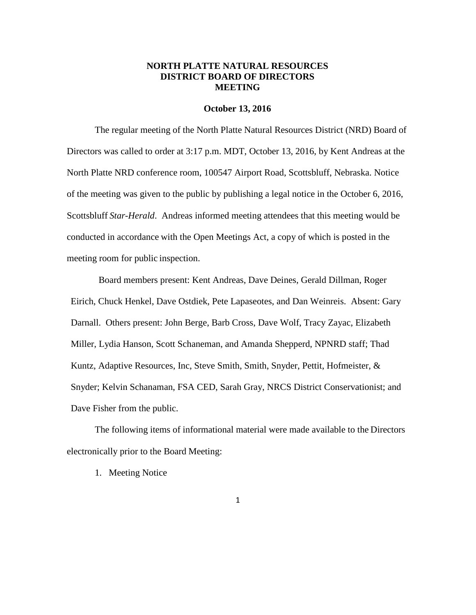## **NORTH PLATTE NATURAL RESOURCES DISTRICT BOARD OF DIRECTORS MEETING**

#### **October 13, 2016**

The regular meeting of the North Platte Natural Resources District (NRD) Board of Directors was called to order at 3:17 p.m. MDT, October 13, 2016, by Kent Andreas at the North Platte NRD conference room, 100547 Airport Road, Scottsbluff, Nebraska. Notice of the meeting was given to the public by publishing a legal notice in the October 6, 2016, Scottsbluff *Star-Herald*. Andreas informed meeting attendees that this meeting would be conducted in accordance with the Open Meetings Act, a copy of which is posted in the meeting room for public inspection.

Board members present: Kent Andreas, Dave Deines, Gerald Dillman, Roger Eirich, Chuck Henkel, Dave Ostdiek, Pete Lapaseotes, and Dan Weinreis. Absent: Gary Darnall. Others present: John Berge, Barb Cross, Dave Wolf, Tracy Zayac, Elizabeth Miller, Lydia Hanson, Scott Schaneman, and Amanda Shepperd, NPNRD staff; Thad Kuntz, Adaptive Resources, Inc, Steve Smith, Smith, Snyder, Pettit, Hofmeister, & Snyder; Kelvin Schanaman, FSA CED, Sarah Gray, NRCS District Conservationist; and Dave Fisher from the public.

The following items of informational material were made available to the Directors electronically prior to the Board Meeting:

1. Meeting Notice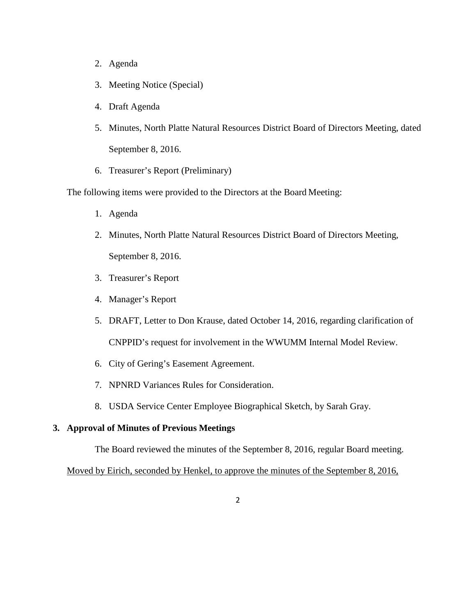- 2. Agenda
- 3. Meeting Notice (Special)
- 4. Draft Agenda
- 5. Minutes, North Platte Natural Resources District Board of Directors Meeting, dated September 8, 2016.
- 6. Treasurer's Report (Preliminary)

The following items were provided to the Directors at the Board Meeting:

- 1. Agenda
- 2. Minutes, North Platte Natural Resources District Board of Directors Meeting, September 8, 2016.
- 3. Treasurer's Report
- 4. Manager's Report
- 5. DRAFT, Letter to Don Krause, dated October 14, 2016, regarding clarification of CNPPID's request for involvement in the WWUMM Internal Model Review.
- 6. City of Gering's Easement Agreement.
- 7. NPNRD Variances Rules for Consideration.
- 8. USDA Service Center Employee Biographical Sketch, by Sarah Gray.

## **3. Approval of Minutes of Previous Meetings**

The Board reviewed the minutes of the September 8, 2016, regular Board meeting.

Moved by Eirich, seconded by Henkel, to approve the minutes of the September 8, 2016,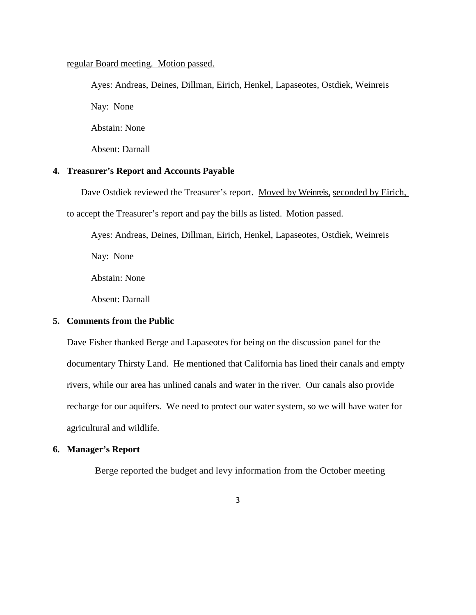## regular Board meeting. Motion passed.

Ayes: Andreas, Deines, Dillman, Eirich, Henkel, Lapaseotes, Ostdiek, Weinreis Nay: None Abstain: None Absent: Darnall

## **4. Treasurer's Report and Accounts Payable**

Dave Ostdiek reviewed the Treasurer's report. Moved by Weinreis, seconded by Eirich,

#### to accept the Treasurer's report and pay the bills as listed. Motion passed.

Ayes: Andreas, Deines, Dillman, Eirich, Henkel, Lapaseotes, Ostdiek, Weinreis

Nay: None

Abstain: None

Absent: Darnall

## **5. Comments from the Public**

Dave Fisher thanked Berge and Lapaseotes for being on the discussion panel for the documentary Thirsty Land. He mentioned that California has lined their canals and empty rivers, while our area has unlined canals and water in the river. Our canals also provide recharge for our aquifers. We need to protect our water system, so we will have water for agricultural and wildlife.

#### **6. Manager's Report**

Berge reported the budget and levy information from the October meeting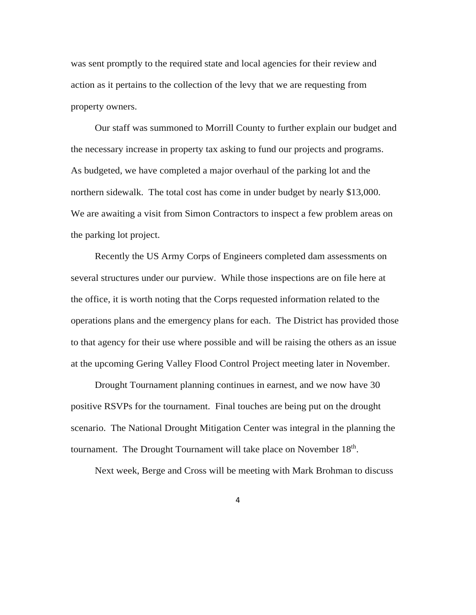was sent promptly to the required state and local agencies for their review and action as it pertains to the collection of the levy that we are requesting from property owners.

Our staff was summoned to Morrill County to further explain our budget and the necessary increase in property tax asking to fund our projects and programs. As budgeted, we have completed a major overhaul of the parking lot and the northern sidewalk. The total cost has come in under budget by nearly \$13,000. We are awaiting a visit from Simon Contractors to inspect a few problem areas on the parking lot project.

Recently the US Army Corps of Engineers completed dam assessments on several structures under our purview. While those inspections are on file here at the office, it is worth noting that the Corps requested information related to the operations plans and the emergency plans for each. The District has provided those to that agency for their use where possible and will be raising the others as an issue at the upcoming Gering Valley Flood Control Project meeting later in November.

Drought Tournament planning continues in earnest, and we now have 30 positive RSVPs for the tournament. Final touches are being put on the drought scenario. The National Drought Mitigation Center was integral in the planning the tournament. The Drought Tournament will take place on November 18<sup>th</sup>.

Next week, Berge and Cross will be meeting with Mark Brohman to discuss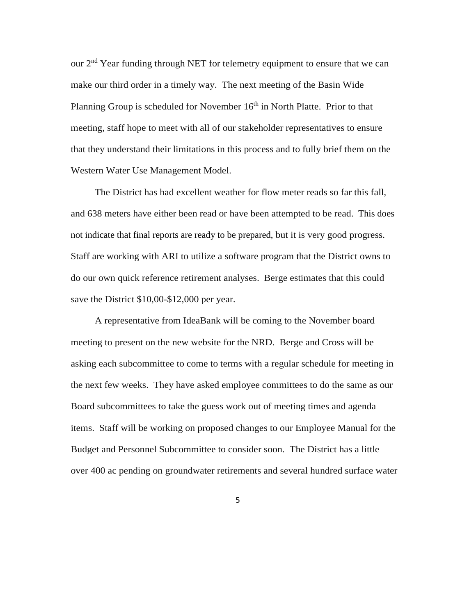our 2<sup>nd</sup> Year funding through NET for telemetry equipment to ensure that we can make our third order in a timely way. The next meeting of the Basin Wide Planning Group is scheduled for November 16<sup>th</sup> in North Platte. Prior to that meeting, staff hope to meet with all of our stakeholder representatives to ensure that they understand their limitations in this process and to fully brief them on the Western Water Use Management Model.

The District has had excellent weather for flow meter reads so far this fall, and 638 meters have either been read or have been attempted to be read. This does not indicate that final reports are ready to be prepared, but it is very good progress. Staff are working with ARI to utilize a software program that the District owns to do our own quick reference retirement analyses. Berge estimates that this could save the District \$10,00-\$12,000 per year.

A representative from IdeaBank will be coming to the November board meeting to present on the new website for the NRD. Berge and Cross will be asking each subcommittee to come to terms with a regular schedule for meeting in the next few weeks. They have asked employee committees to do the same as our Board subcommittees to take the guess work out of meeting times and agenda items. Staff will be working on proposed changes to our Employee Manual for the Budget and Personnel Subcommittee to consider soon. The District has a little over 400 ac pending on groundwater retirements and several hundred surface water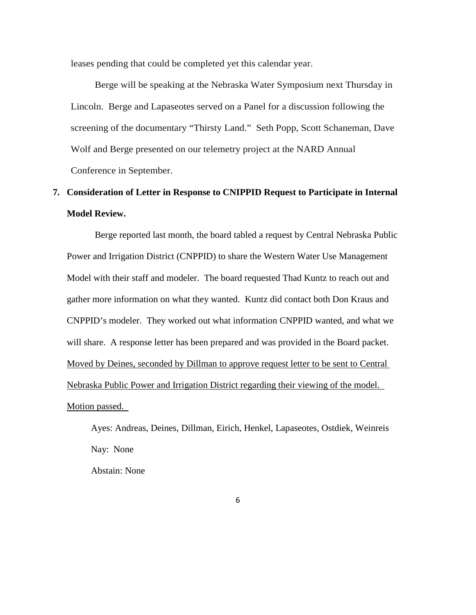leases pending that could be completed yet this calendar year.

Berge will be speaking at the Nebraska Water Symposium next Thursday in Lincoln. Berge and Lapaseotes served on a Panel for a discussion following the screening of the documentary "Thirsty Land." Seth Popp, Scott Schaneman, Dave Wolf and Berge presented on our telemetry project at the NARD Annual Conference in September.

# **7. Consideration of Letter in Response to CNIPPID Request to Participate in Internal Model Review.**

Berge reported last month, the board tabled a request by Central Nebraska Public Power and Irrigation District (CNPPID) to share the Western Water Use Management Model with their staff and modeler. The board requested Thad Kuntz to reach out and gather more information on what they wanted. Kuntz did contact both Don Kraus and CNPPID's modeler. They worked out what information CNPPID wanted, and what we will share. A response letter has been prepared and was provided in the Board packet. Moved by Deines, seconded by Dillman to approve request letter to be sent to Central Nebraska Public Power and Irrigation District regarding their viewing of the model. Motion passed.

Ayes: Andreas, Deines, Dillman, Eirich, Henkel, Lapaseotes, Ostdiek, Weinreis Nay: None

Abstain: None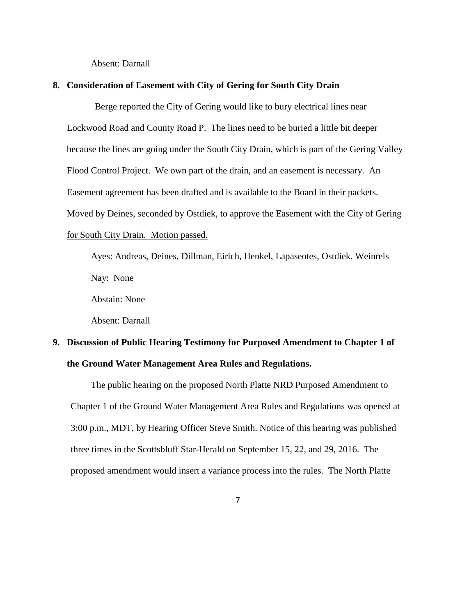Absent: Darnall

#### **8. Consideration of Easement with City of Gering for South City Drain**

Berge reported the City of Gering would like to bury electrical lines near Lockwood Road and County Road P. The lines need to be buried a little bit deeper because the lines are going under the South City Drain, which is part of the Gering Valley Flood Control Project. We own part of the drain, and an easement is necessary. An Easement agreement has been drafted and is available to the Board in their packets. Moved by Deines, seconded by Ostdiek, to approve the Easement with the City of Gering for South City Drain. Motion passed.

Ayes: Andreas, Deines, Dillman, Eirich, Henkel, Lapaseotes, Ostdiek, Weinreis Nay: None

Abstain: None

Absent: Darnall

# **9. Discussion of Public Hearing Testimony for Purposed Amendment to Chapter 1 of the Ground Water Management Area Rules and Regulations.**

The public hearing on the proposed North Platte NRD Purposed Amendment to Chapter 1 of the Ground Water Management Area Rules and Regulations was opened at 3:00 p.m., MDT, by Hearing Officer Steve Smith. Notice of this hearing was published three times in the Scottsbluff Star-Herald on September 15, 22, and 29, 2016. The proposed amendment would insert a variance process into the rules. The North Platte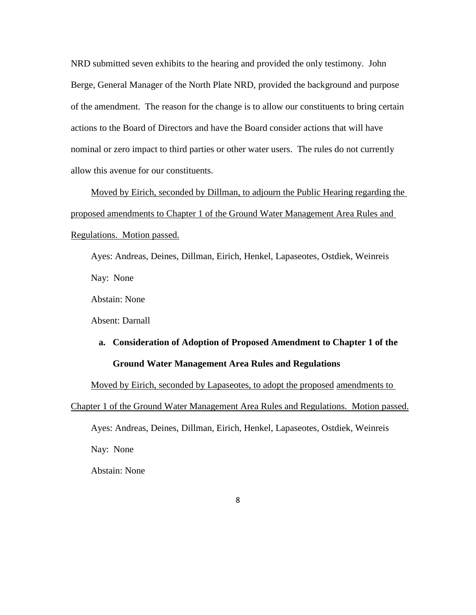NRD submitted seven exhibits to the hearing and provided the only testimony. John Berge, General Manager of the North Plate NRD, provided the background and purpose of the amendment. The reason for the change is to allow our constituents to bring certain actions to the Board of Directors and have the Board consider actions that will have nominal or zero impact to third parties or other water users. The rules do not currently allow this avenue for our constituents.

Moved by Eirich, seconded by Dillman, to adjourn the Public Hearing regarding the proposed amendments to Chapter 1 of the Ground Water Management Area Rules and Regulations. Motion passed.

Ayes: Andreas, Deines, Dillman, Eirich, Henkel, Lapaseotes, Ostdiek, Weinreis Nay: None

Abstain: None

Absent: Darnall

# **a. Consideration of Adoption of Proposed Amendment to Chapter 1 of the Ground Water Management Area Rules and Regulations**

Moved by Eirich, seconded by Lapaseotes, to adopt the proposed amendments to

Chapter 1 of the Ground Water Management Area Rules and Regulations. Motion passed.

Ayes: Andreas, Deines, Dillman, Eirich, Henkel, Lapaseotes, Ostdiek, Weinreis

Nay: None

Abstain: None